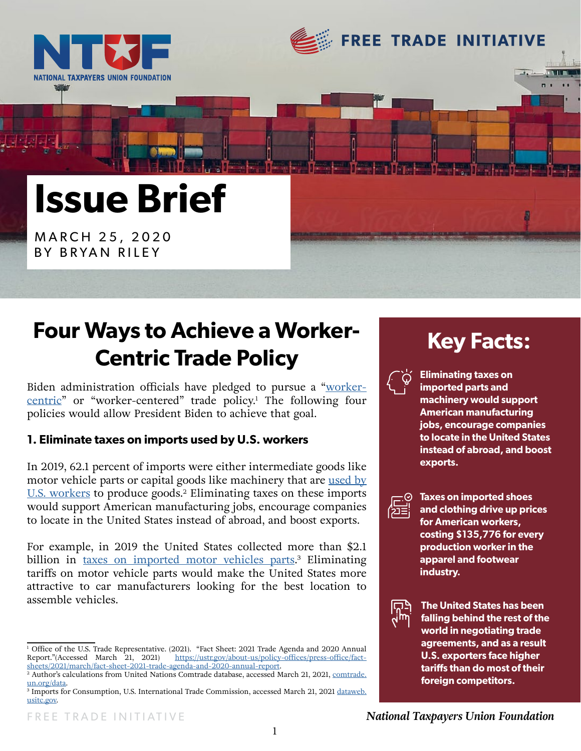

FREE TRADE INITIATIVE

# **Issue Brief**

MARCH 25, 2020 BY BRYAN RILEY

## **Four Ways to Achieve a Worker- Key Facts: Centric Trade Policy**

Biden administration officials have pledged to pursue a "[worker](https://ustr.gov/about-us/policy-offices/press-office/fact-sheets/2021/march/fact-sheet-2021-trade-agenda-and-2020-annual-report)[centric](https://ustr.gov/about-us/policy-offices/press-office/fact-sheets/2021/march/fact-sheet-2021-trade-agenda-and-2020-annual-report)" or "worker-centered" trade policy.<sup>1</sup> The following four policies would allow President Biden to achieve that goal.

### **1. Eliminate taxes on imports used by U.S. workers**

In 2019, 62.1 percent of imports were either intermediate goods like motor vehicle parts or capital goods like machinery that are [used by](http://comtrade.un.org/data) [U.S. workers](http://comtrade.un.org/data) to produce goods.<sup>2</sup> Eliminating taxes on these imports would support American manufacturing jobs, encourage companies to locate in the United States instead of abroad, and boost exports.

For example, in 2019 the United States collected more than \$2.1 billion in [taxes on imported motor vehicles parts.](http://dataweb.usitc.gov)<sup>3</sup> Eliminating tariffs on motor vehicle parts would make the United States more attractive to car manufacturers looking for the best location to assemble vehicles.



**Eliminating taxes on imported parts and machinery would support American manufacturing jobs, encourage companies to locate in the United States instead of abroad, and boost exports.** 



**Taxes on imported shoes and clothing drive up prices for American workers, costing \$135,776 for every production worker in the apparel and footwear industry.** 



**The United States has been falling behind the rest of the world in negotiating trade agreements, and as a result U.S. exporters face higher tariffs than do most of their foreign competitors.** 

<sup>&</sup>lt;sup>1</sup> Office of the U.S. Trade Representative. (2021). "Fact Sheet: 2021 Trade Agenda and 2020 Annual Report."(Accessed March 21, 2021) [https://ustr.gov/about-us/policy-offices/press-office/fact](https://ustr.gov/about-us/policy-offices/press-office/fact-sheets/2021/march/fact-sheet-2021-trade-agenda-and-2020-annual-report)[sheets/2021/march/fact-sheet-2021-trade-agenda-and-2020-annual-report.](https://ustr.gov/about-us/policy-offices/press-office/fact-sheets/2021/march/fact-sheet-2021-trade-agenda-and-2020-annual-report)

<sup>&</sup>lt;sup>2</sup> Author's calculations from United Nations Comtrade database, accessed March 21, 2021, [comtrade.](http://comtrade.un.org/data) [un.org/data](http://comtrade.un.org/data).

<sup>&</sup>lt;sup>3</sup> Imports for Consumption, U.S. International Trade Commission, accessed March 21, 2021 <u>dataweb.</u> [usitc.gov](http://dataweb.usitc.gov).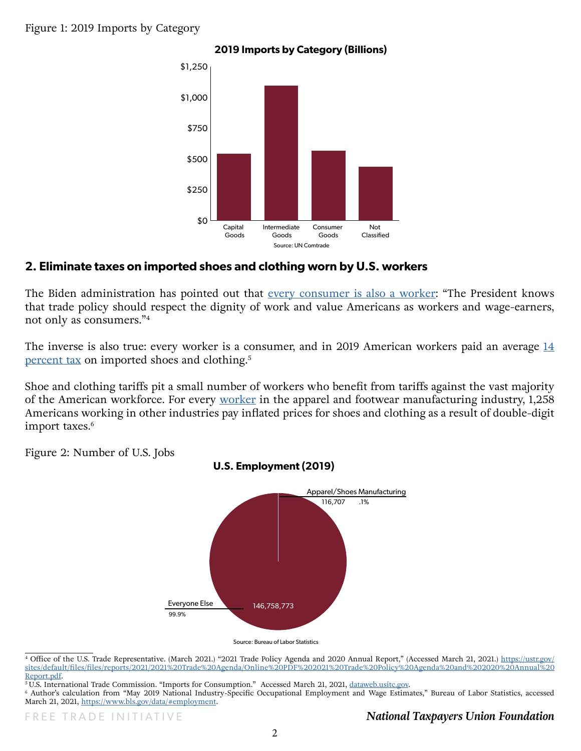

#### **2. Eliminate taxes on imported shoes and clothing worn by U.S. workers**

The Biden administration has pointed out that [every consumer is also a worker](https://ustr.gov/sites/default/files/files/reports/2021/2021%20Trade%20Agenda/Online%20PDF%202021%20Trade%20Policy%20Agenda%20and%202020%20Annual%20Report.pdf): "The President knows that trade policy should respect the dignity of work and value Americans as workers and wage-earners, not only as consumers."<sup>4</sup>

The inverse is also true: every worker is a consumer, and in 2019 American workers paid an average [14](http://dataweb.usitc.gov) [percent tax](http://dataweb.usitc.gov) on imported shoes and clothing.<sup>5</sup>

Shoe and clothing tariffs pit a small number of workers who benefit from tariffs against the vast majority of the American workforce. For every [worker](https://www.bls.gov/data/#employment) in the apparel and footwear manufacturing industry, 1,258 Americans working in other industries pay inflated prices for shoes and clothing as a result of double-digit import taxes.<sup>6</sup>





<sup>&</sup>lt;sup>4</sup> Office of the U.S. Trade Representative. (March 2021.) "2021 Trade Policy Agenda and 2020 Annual Report," (Accessed March 21, 2021.) [https://ustr.gov/](https://ustr.gov/sites/default/files/files/reports/2021/2021%20Trade%20Agenda/Online%20PDF%202021%20Trade%20Policy%20Agenda%20and%202020%20Annual%20Report.pdf) [sites/default/files/files/reports/2021/2021%20Trade%20Agenda/Online%20PDF%202021%20Trade%20Policy%20Agenda%20and%202020%20Annual%20](https://ustr.gov/sites/default/files/files/reports/2021/2021%20Trade%20Agenda/Online%20PDF%202021%20Trade%20Policy%20Agenda%20and%202020%20Annual%20Report.pdf) [Report.pdf.](https://ustr.gov/sites/default/files/files/reports/2021/2021%20Trade%20Agenda/Online%20PDF%202021%20Trade%20Policy%20Agenda%20and%202020%20Annual%20Report.pdf)

 $5U.S.$  International Trade Commission. "Imports for Consumption." Accessed March 21, 2021, [dataweb.usitc.gov](http://dataweb.usitc.gov). 6 Author's calculation from "May 2019 National Industry-Specific Occupational Employment and Wage Estimates," Bureau of Labor Statistics, accessed

March 21, 2021, [https://www.bls.gov/data/#employment.](https://www.bls.gov/data/#employment)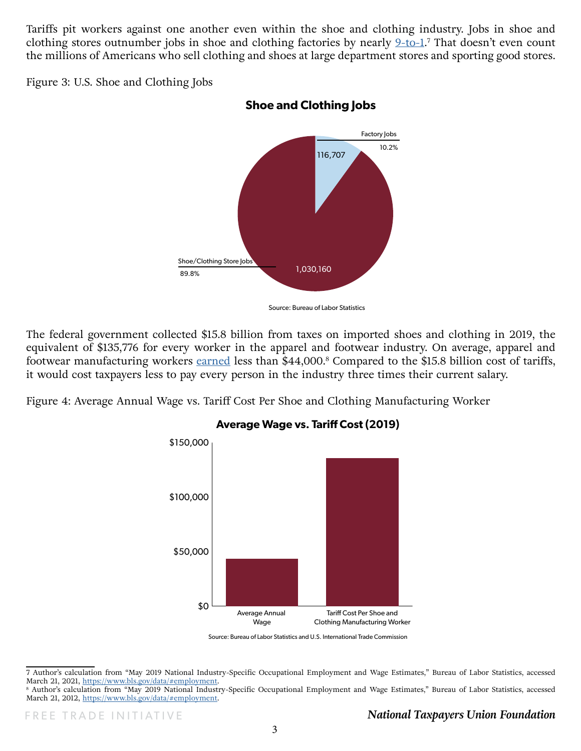Tariffs pit workers against one another even within the shoe and clothing industry. Jobs in shoe and clothing stores outnumber jobs in shoe and clothing factories by nearly 2-to-1.<sup>7</sup> That doesn't even count the millions of Americans who sell clothing and shoes at large department stores and sporting good stores.

Figure 3: U.S. Shoe and Clothing Jobs



**Shoe and Clothing Jobs**

Source: Bureau of Labor Statistics

The federal government collected \$15.8 billion from taxes on imported shoes and clothing in 2019, the equivalent of \$135,776 for every worker in the apparel and footwear industry. On average, apparel and footwear manufacturing workers [earned](https://www.bls.gov/data/#employment) less than \$44,000.<sup>8</sup> Compared to the \$15.8 billion cost of tariffs, it would cost taxpayers less to pay every person in the industry three times their current salary.

Figure 4: Average Annual Wage vs. Tariff Cost Per Shoe and Clothing Manufacturing Worker



#### **Average Wage vs. Tariff Cost (2019)**

Source: Bureau of Labor Statistics and U.S. International Trade Commission

#### FREE TRADE INITIATIVE *National Taxpayers Union Foundation*

<sup>7</sup> Author's calculation from "May 2019 National Industry-Specific Occupational Employment and Wage Estimates," Bureau of Labor Statistics, accessed March 21, 2021, <https://www.bls.gov/data/#employment>.

<sup>8</sup> Author's calculation from "May 2019 National Industry-Specific Occupational Employment and Wage Estimates," Bureau of Labor Statistics, accessed March 21, 2012, <https://www.bls.gov/data/#employment>.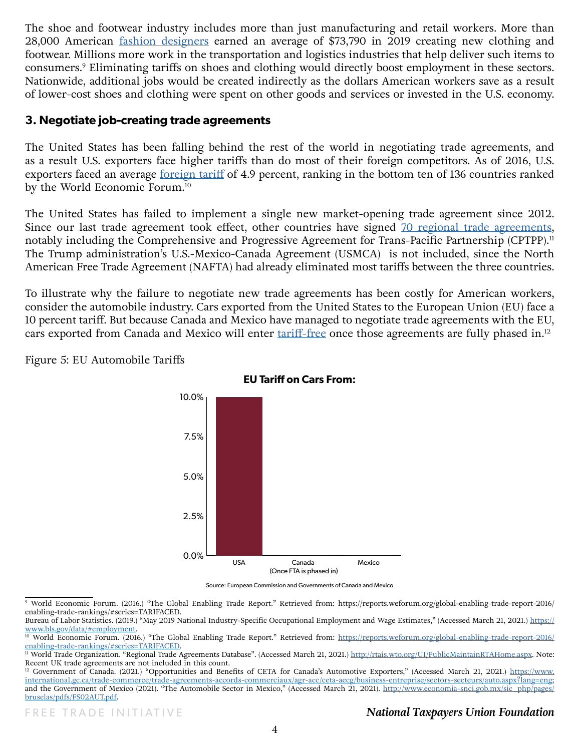The shoe and footwear industry includes more than just manufacturing and retail workers. More than 28,000 American [fashion designers](https://www.bls.gov/data/#employment) earned an average of \$73,790 in 2019 creating new clothing and footwear. Millions more work in the transportation and logistics industries that help deliver such items to consumers.<sup>9</sup> Eliminating tariffs on shoes and clothing would directly boost employment in these sectors. Nationwide, additional jobs would be created indirectly as the dollars American workers save as a result of lower-cost shoes and clothing were spent on other goods and services or invested in the U.S. economy.

#### **3. Negotiate job-creating trade agreements**

The United States has been falling behind the rest of the world in negotiating trade agreements, and as a result U.S. exporters face higher tariffs than do most of their foreign competitors. As of 2016, U.S. exporters faced an average <u>[foreign tariff](https://reports.weforum.org/global-enabling-trade-report-2016/enabling-trade-rankings/#series=TARIFACED)</u> of 4.9 percent, ranking in the bottom ten of 136 countries ranked by the World Economic Forum.<sup>10</sup>

The United States has failed to implement a single new market-opening trade agreement since 2012. Since our last trade agreement took effect, other countries have signed [70 regional trade agreements](http://rtais.wto.org/UI/PublicMaintainRTAHome.aspx), notably including the Comprehensive and Progressive Agreement for Trans-Pacific Partnership (CPTPP).<sup>11</sup> The Trump administration's U.S.-Mexico-Canada Agreement (USMCA) is not included, since the North American Free Trade Agreement (NAFTA) had already eliminated most tariffs between the three countries.

To illustrate why the failure to negotiate new trade agreements has been costly for American workers, consider the automobile industry. Cars exported from the United States to the European Union (EU) face a 10 percent tariff. But because Canada and Mexico have managed to negotiate trade agreements with the EU, cars exported from Canada and Mexico will enter [tariff-free](https://www.international.gc.ca/trade-commerce/trade-agreements-accords-commerciaux/agr-acc/ceta-aecg/business-entreprise/sectors-secteurs/auto.aspx?lang=eng) once those agreements are fully phased in.<sup>12</sup>

Figure 5: EU Automobile Tariffs



#### **EU Tariff on Cars From:**

Source: European Commission and Governments of Canada and Mexico

<sup>9</sup> World Economic Forum. (2016.) "The Global Enabling Trade Report." Retrieved from: https://reports.weforum.org/global-enabling-trade-report-2016/ enabling-trade-rankings/#series=TARIFACED.

Bureau of Labor Statistics. (2019.) "May 2019 National Industry-Specific Occupational Employment and Wage Estimates," (Accessed March 21, 2021.) [https://](https://www.bls.gov/data/#employment) [www.bls.gov/data/#employment.](https://www.bls.gov/data/#employment)

<sup>&</sup>lt;sup>10</sup> World Economic Forum. (2016.) "The Global Enabling Trade Report." Retrieved from: https://reports.weforum.org/global-enabling-trade-report-2016/ enabling-trade-rankings/#series=TARIFACED.

<sup>&</sup>lt;sup>11</sup> World Trade Organization. "Regional Trade Agreements Database". (Accessed March 21, 2021.) [http://rtais.wto.org/UI/PublicMaintainRTAHome.aspx.](http://rtais.wto.org/UI/PublicMaintainRTAHome.aspx) Note: Recent UK trade agreements are not included in this count.

<sup>&</sup>lt;sup>12</sup> Government of Canada. (2021.) "Opportunities and Benefits of CETA for Canada's Automotive Exporters," (Accessed March 21, 2021.) [https://www.](https://www.international.gc.ca/trade-commerce/trade-agreements-accords-commerciaux/agr-acc/ceta-aecg/business-entreprise/sectors-secteurs/auto.aspx?lang=eng) [international.gc.ca/trade-commerce/trade-agreements-accords-commerciaux/agr-acc/ceta-aecg/business-entreprise/sectors-secteurs/auto.aspx?lang=eng](https://www.international.gc.ca/trade-commerce/trade-agreements-accords-commerciaux/agr-acc/ceta-aecg/business-entreprise/sectors-secteurs/auto.aspx?lang=eng); and the Government of Mexico (2021). "The Automobile Sector in Mexico," (Accessed March 21, 2021). [http://www.economia-snci.gob.mx/sic\\_php/pages/](http://www.economia-snci.gob.mx/sic_php/pages/bruselas/pdfs/FS02AUT.pdf) [bruselas/pdfs/FS02AUT.pdf.](http://www.economia-snci.gob.mx/sic_php/pages/bruselas/pdfs/FS02AUT.pdf)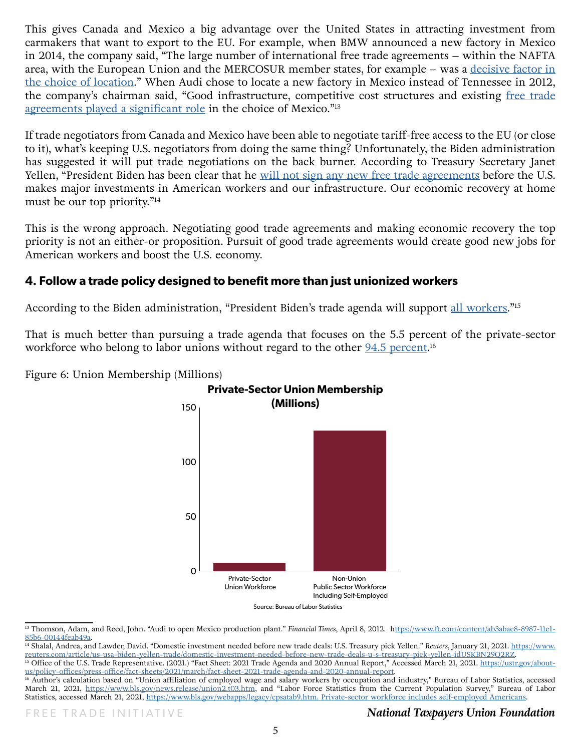This gives Canada and Mexico a big advantage over the United States in attracting investment from carmakers that want to export to the EU. For example, when BMW announced a new factory in Mexico in 2014, the company said, "The large number of international free trade agreements – within the NAFTA area, with the European Union and the MERCOSUR member states, for example – was a decisive factor in [the choice of location](https://www.reuters.com/article/us-usa-biden-yellen-trade/domestic-investment-needed-before-new-trade-deals-u-s-treasury-pick-yellen-idUSKBN29Q2RZ)." When Audi chose to locate a new factory in Mexico instead of Tennessee in 2012, the company's chairman said, "Good infrastructure, competitive cost structures and existing free trade [agreements played a significant role](https://www.ft.com/content/ab3abae8-8987-11e1-85b6-00144feab49a) in the choice of Mexico."<sup>13</sup>

If trade negotiators from Canada and Mexico have been able to negotiate tariff-free access to the EU (or close to it), what's keeping U.S. negotiators from doing the same thing? Unfortunately, the Biden administration has suggested it will put trade negotiations on the back burner. According to Treasury Secretary Janet Yellen, "President Biden has been clear that he [will not sign any new free trade agreements](https://www.reuters.com/article/us-usa-biden-yellen-trade/domestic-investment-needed-before-new-trade-deals-u-s-treasury-pick-yellen-idUSKBN29Q2RZ) before the U.S. makes major investments in American workers and our infrastructure. Our economic recovery at home must be our top priority."<sup>14</sup>

This is the wrong approach. Negotiating good trade agreements and making economic recovery the top priority is not an either-or proposition. Pursuit of good trade agreements would create good new jobs for American workers and boost the U.S. economy.

### **4. Follow a trade policy designed to benefit more than just unionized workers**

According to the Biden administration, "President Biden's trade agenda will support [all workers.](https://ustr.gov/about-us/policy-offices/press-office/fact-sheets/2021/march/fact-sheet-2021-trade-agenda-and-2020-annual-report)"<sup>15</sup>

That is much better than pursuing a trade agenda that focuses on the 5.5 percent of the private-sector workforce who belong to labor unions without regard to the other <u>[94.5 percen](https://www.bls.gov/cps/)t</u>.<sup>16</sup>



Figure 6: Union Membership (Millions)

Source: Bureau of Labor Statistics

<sup>&</sup>lt;sup>13</sup> Thomson, Adam, and Reed, John. "Audi to open Mexico production plant." *Financial Times*, April 8, 2012. [https://www.ft.com/content/ab3abae8-8987-11e1-](ttps://www.ft.com/content/ab3abae8-8987-11e1-85b6-00144feab49a) [85b6-00144feab49a.](ttps://www.ft.com/content/ab3abae8-8987-11e1-85b6-00144feab49a)

<sup>14</sup> Shalal, Andrea, and Lawder, David. "Domestic investment needed before new trade deals: U.S. Treasury pick Yellen." *Reuters*, January 21, 2021. [https://www.](https://www.reuters.com/article/us-usa-biden-yellen-trade/domestic-investment-needed-before-new-trade-deals-u-s-treasury-pick-yellen-idUSKBN29Q2RZ) [reuters.com/article/us-usa-biden-yellen-trade/domestic-investment-needed-before-new-trade-deals-u-s-treasury-pick-yellen-idUSKBN29Q2RZ.](https://www.reuters.com/article/us-usa-biden-yellen-trade/domestic-investment-needed-before-new-trade-deals-u-s-treasury-pick-yellen-idUSKBN29Q2RZ)

<sup>&</sup>lt;sup>15</sup> Office of the U.S. Trade Representative. (2021.) "Fact Sheet: 2021 Trade Agenda and 2020 Annual Report," Accessed March 21, 2021. [https://ustr.gov/about](https://ustr.gov/about-us/policy-offices/press-office/fact-sheets/2021/march/fact-sheet-2021-trade-agenda-and-2020-annual-report)[us/policy-offices/press-office/fact-sheets/2021/march/fact-sheet-2021-trade-agenda-and-2020-annual-report](https://ustr.gov/about-us/policy-offices/press-office/fact-sheets/2021/march/fact-sheet-2021-trade-agenda-and-2020-annual-report).

<sup>&</sup>lt;sup>16</sup> Author's calculation based on "Union affiliation of employed wage and salary workers by occupation and industry," Bureau of Labor Statistics, accessed March 21, 2021, [https://www.bls.gov/news.release/union2.t03.htm,](https://www.bls.gov/news.release/union2.t03.htm) and "Labor Force Statistics from the Current Population Survey," Bureau of Labor Statistics, accessed March 21, 2021,<https://www.bls.gov/webapps/legacy/cpsatab9.htm. Private-sector workforce includes self-employed Americans>.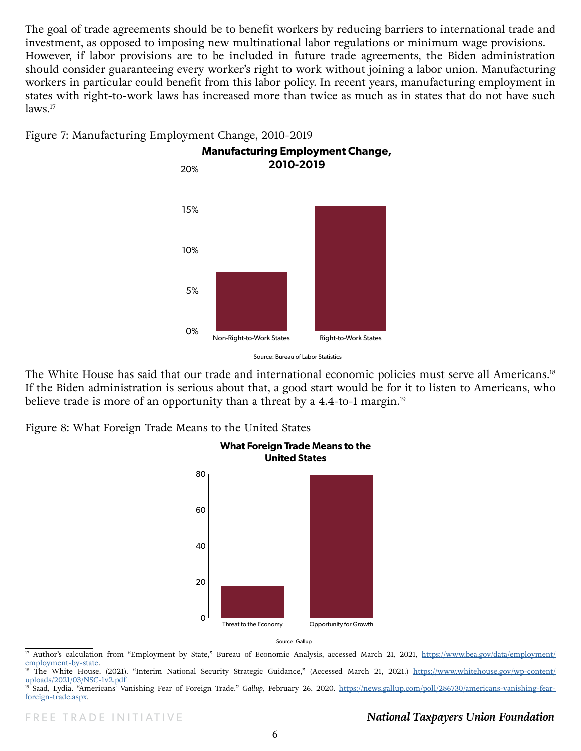The goal of trade agreements should be to benefit workers by reducing barriers to international trade and investment, as opposed to imposing new multinational labor regulations or minimum wage provisions. However, if labor provisions are to be included in future trade agreements, the Biden administration should consider guaranteeing every worker's right to work without joining a labor union. Manufacturing workers in particular could benefit from this labor policy. In recent years, manufacturing employment in states with right-to-work laws has increased [more than twice as much](https://www.bea.gov/data/employment/employment-by-state) as in states that do not have such laws.<sup>17</sup>



#### Figure 7: Manufacturing Employment Change, 2010-2019

The White House has said that our trade and international economic policies must serve [all Americans.](https://www.whitehouse.gov/wp-content/uploads/2021/03/NSC-1v2.pdf)<sup>18</sup> If the Biden administration is serious about that, a good start would be for it to listen to Americans, who believe [trade is more of an opportunity than a threat](https://news.gallup.com/poll/286730/americans-vanishing-fear-foreign-trade.aspx) by a 4.4-to-1 margin.<sup>19</sup>

Figure 8: What Foreign Trade Means to the United States



<sup>&</sup>lt;sup>17</sup> Author's calculation from "Employment by State," Bureau of Economic Analysis, accessed March 21, 2021, [https://www.bea.gov/data/employment/](https://www.bea.gov/data/employment/employment-by-state) [employment-by-state.](https://www.bea.gov/data/employment/employment-by-state)<br><sup>18</sup> The White House. (2021). "Interim National Security Strategic Guidance," (Accessed March 21, 2021.) [https://www.whitehouse.gov/wp-content/](https://www.whitehouse.gov/wp-content/uploads/2021/03/NSC-1v2.pdf)

#### FREE TRADE INITIATIVE *National Taxpayers Union Foundation*

Source: Bureau of Labor Statistics

[uploads/2021/03/NSC-1v2.pdf](https://www.whitehouse.gov/wp-content/uploads/2021/03/NSC-1v2.pdf)

<sup>&</sup>lt;sup>19</sup> Saad, Lydia. "Americans<sup>i</sup> Vanishing Fear of Foreign Trade." *Gallup*, February 26, 2020. [https://news.gallup.com/poll/286730/americans-vanishing-fear](https://news.gallup.com/poll/286730/americans-vanishing-fear-foreign-trade.aspx)[foreign-trade.aspx.](https://news.gallup.com/poll/286730/americans-vanishing-fear-foreign-trade.aspx)